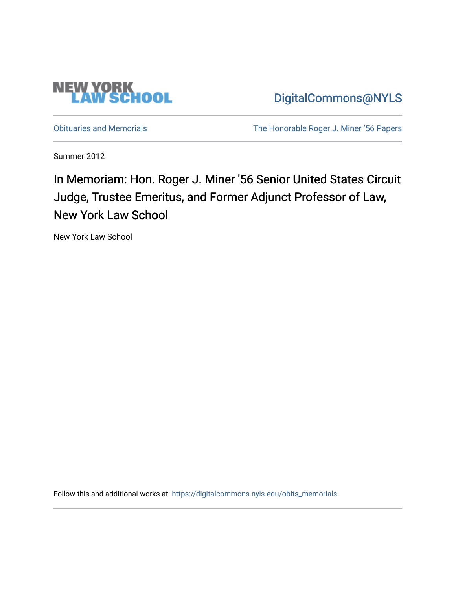

[DigitalCommons@NYLS](https://digitalcommons.nyls.edu/) 

[Obituaries and Memorials](https://digitalcommons.nyls.edu/obits_memorials) [The Honorable Roger J. Miner '56 Papers](https://digitalcommons.nyls.edu/miner_papers) 

Summer 2012

In Memoriam: Hon. Roger J. Miner '56 Senior United States Circuit Judge, Trustee Emeritus, and Former Adjunct Professor of Law, New York Law School

New York Law School

Follow this and additional works at: [https://digitalcommons.nyls.edu/obits\\_memorials](https://digitalcommons.nyls.edu/obits_memorials?utm_source=digitalcommons.nyls.edu%2Fobits_memorials%2F1&utm_medium=PDF&utm_campaign=PDFCoverPages)